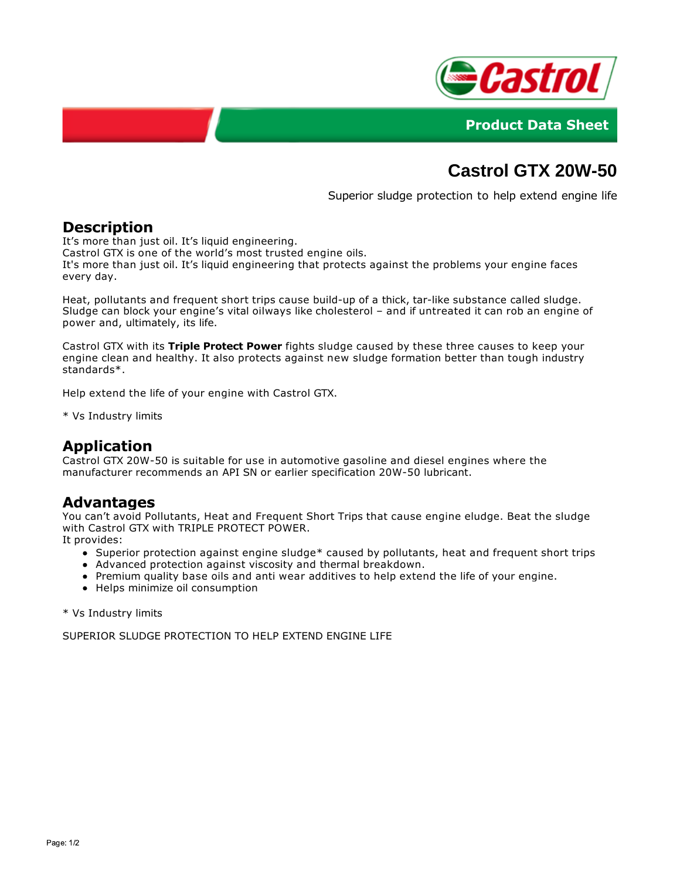



# **Castrol GTX 20W-50**

Superior sludge protection to help extend engine life

## **Description**

It's more than just oil. It's liquid engineering.

Castrol GTX is one of the world's most trusted engine oils.

It's more than just oil. It's liquid engineering that protects against the problems your engine faces every day.

Heat, pollutants and frequent short trips cause build-up of a thick, tar-like substance called sludge. Sludge can block your engine's vital oilways like cholesterol – and if untreated it can rob an engine of power and, ultimately, its life.

Castrol GTX with its **Triple Protect Power** fights sludge caused by these three causes to keep your engine clean and healthy. It also protects against new sludge formation better than tough industry standards\*.

Help extend the life of your engine with Castrol GTX.

\* Vs Industry limits

## **Application**

Castrol GTX 20W-50 is suitable for use in automotive gasoline and diesel engines where the manufacturer recommends an API SN or earlier specification 20W-50 lubricant.

#### **Advantages**

You can't avoid Pollutants, Heat and Frequent Short Trips that cause engine eludge. Beat the sludge with Castrol GTX with TRIPLE PROTECT POWER.

It provides:

- Superior protection against engine sludge\* caused by pollutants, heat and frequent short trips
- Advanced protection against viscosity and thermal breakdown.
- Premium quality base oils and anti wear additives to help extend the life of your engine.
- Helps minimize oil consumption

\* Vs Industry limits

SUPERIOR SLUDGE PROTECTION TO HELP EXTEND ENGINE LIFE